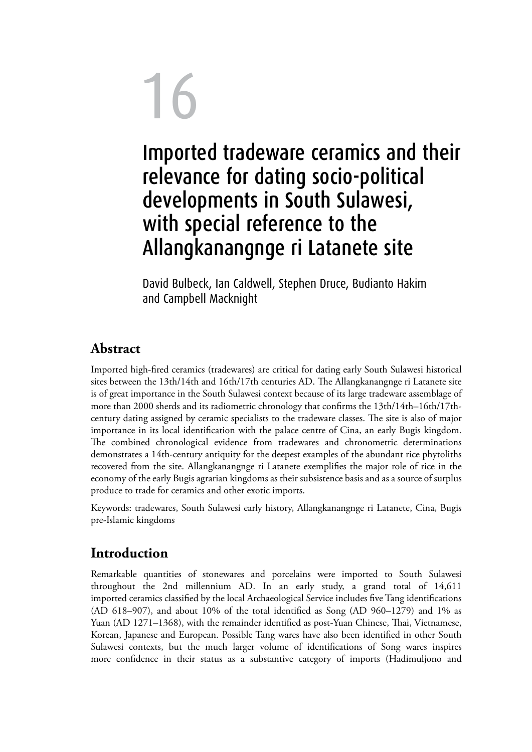# 16 Imported tradeware ceramics and their relevance for dating socio-political developments in South Sulawesi, with special reference to the Allangkanangnge ri Latanete site

David Bulbeck, Ian Caldwell, Stephen Druce, Budianto Hakim and Campbell Macknight

### **Abstract**

Imported high-fired ceramics (tradewares) are critical for dating early South Sulawesi historical sites between the 13th/14th and 16th/17th centuries AD. The Allangkanangnge ri Latanete site is of great importance in the South Sulawesi context because of its large tradeware assemblage of more than 2000 sherds and its radiometric chronology that confirms the 13th/14th–16th/17thcentury dating assigned by ceramic specialists to the tradeware classes. The site is also of major importance in its local identification with the palace centre of Cina, an early Bugis kingdom. The combined chronological evidence from tradewares and chronometric determinations demonstrates a 14th-century antiquity for the deepest examples of the abundant rice phytoliths recovered from the site. Allangkanangnge ri Latanete exemplifies the major role of rice in the economy of the early Bugis agrarian kingdoms as their subsistence basis and as a source of surplus produce to trade for ceramics and other exotic imports.

Keywords: tradewares, South Sulawesi early history, Allangkanangnge ri Latanete, Cina, Bugis pre-Islamic kingdoms

### **Introduction**

Remarkable quantities of stonewares and porcelains were imported to South Sulawesi throughout the 2nd millennium AD. In an early study, a grand total of 14,611 imported ceramics classified by the local Archaeological Service includes five Tang identifications (AD  $618-907$ ), and about  $10\%$  of the total identified as Song (AD  $960-1279$ ) and  $1\%$  as Yuan (AD 1271–1368), with the remainder identified as post-Yuan Chinese, Thai, Vietnamese, Korean, Japanese and European. Possible Tang wares have also been identified in other South Sulawesi contexts, but the much larger volume of identifications of Song wares inspires more confidence in their status as a substantive category of imports (Hadimuljono and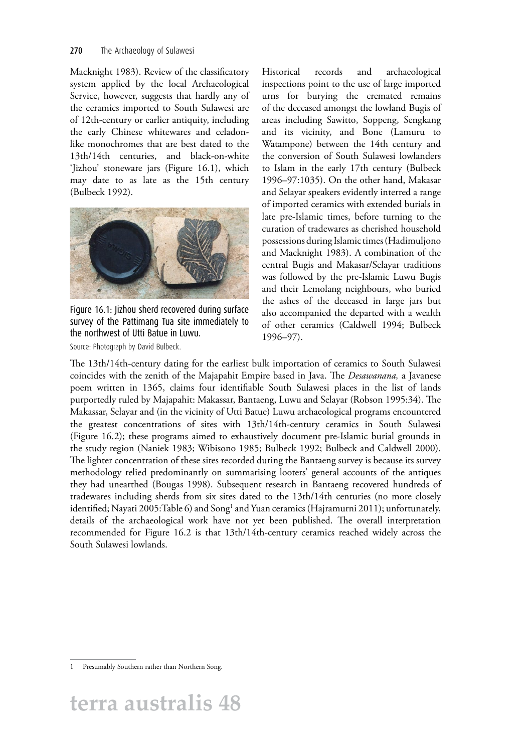Macknight 1983). Review of the classificatory system applied by the local Archaeological Service, however, suggests that hardly any of the ceramics imported to South Sulawesi are of 12th-century or earlier antiquity, including the early Chinese whitewares and celadonlike monochromes that are best dated to the 13th/14th centuries, and black-on-white 'Jizhou' stoneware jars (Figure 16.1), which may date to as late as the 15th century (Bulbeck 1992).



Figure 16.1: Jizhou sherd recovered during surface survey of the Pattimang Tua site immediately to the northwest of Utti Batue in Luwu.

Source: Photograph by David Bulbeck.

Historical records and archaeological inspections point to the use of large imported urns for burying the cremated remains of the deceased amongst the lowland Bugis of areas including Sawitto, Soppeng, Sengkang and its vicinity, and Bone (Lamuru to Watampone) between the 14th century and the conversion of South Sulawesi lowlanders to Islam in the early 17th century (Bulbeck 1996–97:1035). On the other hand, Makasar and Selayar speakers evidently interred a range of imported ceramics with extended burials in late pre-Islamic times, before turning to the curation of tradewares as cherished household possessions during Islamic times (Hadimuljono and Macknight 1983). A combination of the central Bugis and Makasar/Selayar traditions was followed by the pre-Islamic Luwu Bugis and their Lemolang neighbours, who buried the ashes of the deceased in large jars but also accompanied the departed with a wealth of other ceramics (Caldwell 1994; Bulbeck 1996–97).

The 13th/14th-century dating for the earliest bulk importation of ceramics to South Sulawesi coincides with the zenith of the Majapahit Empire based in Java. The *Desawanana,* a Javanese poem written in 1365, claims four identifiable South Sulawesi places in the list of lands purportedly ruled by Majapahit: Makassar, Bantaeng, Luwu and Selayar (Robson 1995:34). The Makassar, Selayar and (in the vicinity of Utti Batue) Luwu archaeological programs encountered the greatest concentrations of sites with 13th/14th-century ceramics in South Sulawesi (Figure 16.2); these programs aimed to exhaustively document pre-Islamic burial grounds in the study region (Naniek 1983; Wibisono 1985; Bulbeck 1992; Bulbeck and Caldwell 2000). The lighter concentration of these sites recorded during the Bantaeng survey is because its survey methodology relied predominantly on summarising looters' general accounts of the antiques they had unearthed (Bougas 1998). Subsequent research in Bantaeng recovered hundreds of tradewares including sherds from six sites dated to the 13th/14th centuries (no more closely identified; Nayati 2005:Table 6) and Song<sup>1</sup> and Yuan ceramics (Hajramurni 2011); unfortunately, details of the archaeological work have not yet been published. The overall interpretation recommended for Figure 16.2 is that 13th/14th-century ceramics reached widely across the South Sulawesi lowlands.

<sup>1</sup> Presumably Southern rather than Northern Song.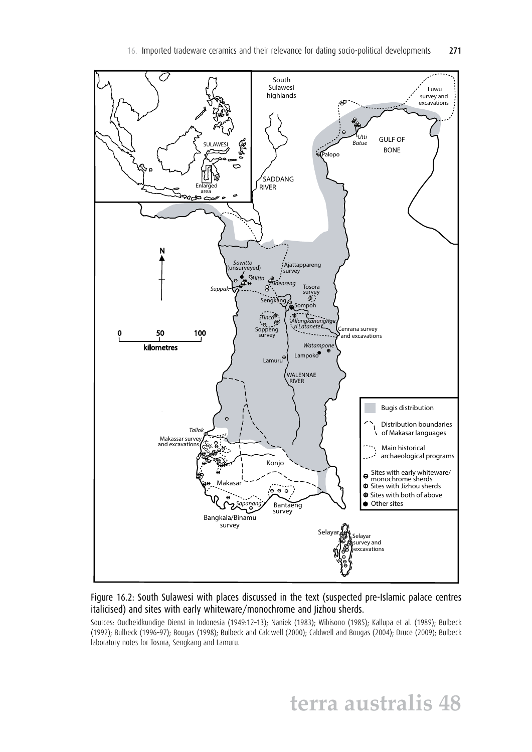

Figure 16.2: South Sulawesi with places discussed in the text (suspected pre-Islamic palace centres italicised) and sites with early whiteware/monochrome and Jizhou sherds.

Sources: Oudheidkundige Dienst in Indonesia (1949:12–13); Naniek (1983); Wibisono (1985); Kallupa et al. (1989); Bulbeck (1992); Bulbeck (1996–97); Bougas (1998); Bulbeck and Caldwell (2000); Caldwell and Bougas (2004); Druce (2009); Bulbeck laboratory notes for Tosora, Sengkang and Lamuru.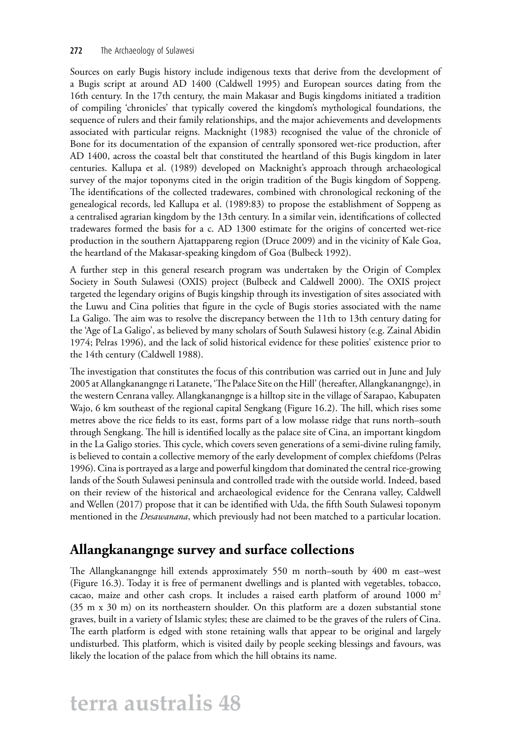#### 272 The Archaeology of Sulawesi

Sources on early Bugis history include indigenous texts that derive from the development of a Bugis script at around AD 1400 (Caldwell 1995) and European sources dating from the 16th century. In the 17th century, the main Makasar and Bugis kingdoms initiated a tradition of compiling 'chronicles' that typically covered the kingdom's mythological foundations, the sequence of rulers and their family relationships, and the major achievements and developments associated with particular reigns. Macknight (1983) recognised the value of the chronicle of Bone for its documentation of the expansion of centrally sponsored wet-rice production, after AD 1400, across the coastal belt that constituted the heartland of this Bugis kingdom in later centuries. Kallupa et al. (1989) developed on Macknight's approach through archaeological survey of the major toponyms cited in the origin tradition of the Bugis kingdom of Soppeng. The identifications of the collected tradewares, combined with chronological reckoning of the genealogical records, led Kallupa et al. (1989:83) to propose the establishment of Soppeng as a centralised agrarian kingdom by the 13th century. In a similar vein, identifications of collected tradewares formed the basis for a c. AD 1300 estimate for the origins of concerted wet-rice production in the southern Ajattappareng region (Druce 2009) and in the vicinity of Kale Goa, the heartland of the Makasar-speaking kingdom of Goa (Bulbeck 1992).

A further step in this general research program was undertaken by the Origin of Complex Society in South Sulawesi (OXIS) project (Bulbeck and Caldwell 2000). The OXIS project targeted the legendary origins of Bugis kingship through its investigation of sites associated with the Luwu and Cina polities that figure in the cycle of Bugis stories associated with the name La Galigo. The aim was to resolve the discrepancy between the 11th to 13th century dating for the 'Age of La Galigo', as believed by many scholars of South Sulawesi history (e.g. Zainal Abidin 1974; Pelras 1996), and the lack of solid historical evidence for these polities' existence prior to the 14th century (Caldwell 1988).

The investigation that constitutes the focus of this contribution was carried out in June and July 2005 at Allangkanangnge ri Latanete, 'The Palace Site on the Hill' (hereafter, Allangkanangnge), in the western Cenrana valley. Allangkanangnge is a hilltop site in the village of Sarapao, Kabupaten Wajo, 6 km southeast of the regional capital Sengkang (Figure 16.2). The hill, which rises some metres above the rice fields to its east, forms part of a low molasse ridge that runs north–south through Sengkang. The hill is identified locally as the palace site of Cina, an important kingdom in the La Galigo stories. This cycle, which covers seven generations of a semi-divine ruling family, is believed to contain a collective memory of the early development of complex chiefdoms (Pelras 1996). Cina is portrayed as a large and powerful kingdom that dominated the central rice-growing lands of the South Sulawesi peninsula and controlled trade with the outside world. Indeed, based on their review of the historical and archaeological evidence for the Cenrana valley, Caldwell and Wellen (2017) propose that it can be identified with Uda, the fifth South Sulawesi toponym mentioned in the *Desawanana*, which previously had not been matched to a particular location.

### **Allangkanangnge survey and surface collections**

The Allangkanangnge hill extends approximately 550 m north–south by 400 m east–west (Figure 16.3). Today it is free of permanent dwellings and is planted with vegetables, tobacco, cacao, maize and other cash crops. It includes a raised earth platform of around  $1000 \text{ m}^2$ (35 m x 30 m) on its northeastern shoulder. On this platform are a dozen substantial stone graves, built in a variety of Islamic styles; these are claimed to be the graves of the rulers of Cina. The earth platform is edged with stone retaining walls that appear to be original and largely undisturbed. This platform, which is visited daily by people seeking blessings and favours, was likely the location of the palace from which the hill obtains its name.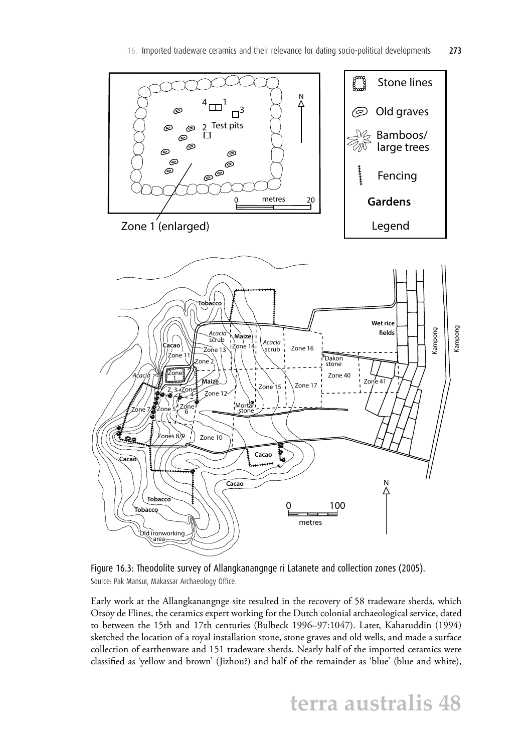

Figure 16.3: Theodolite survey of Allangkanangnge ri Latanete and collection zones (2005). Source: Pak Mansur, Makassar Archaeology Office.

Early work at the Allangkanangnge site resulted in the recovery of 58 tradeware sherds, which Orsoy de Flines, the ceramics expert working for the Dutch colonial archaeological service, dated to between the 15th and 17th centuries (Bulbeck 1996–97:1047). Later, Kaharuddin (1994) sketched the location of a royal installation stone, stone graves and old wells, and made a surface collection of earthenware and 151 tradeware sherds. Nearly half of the imported ceramics were classified as 'yellow and brown' (Jizhou?) and half of the remainder as 'blue' (blue and white),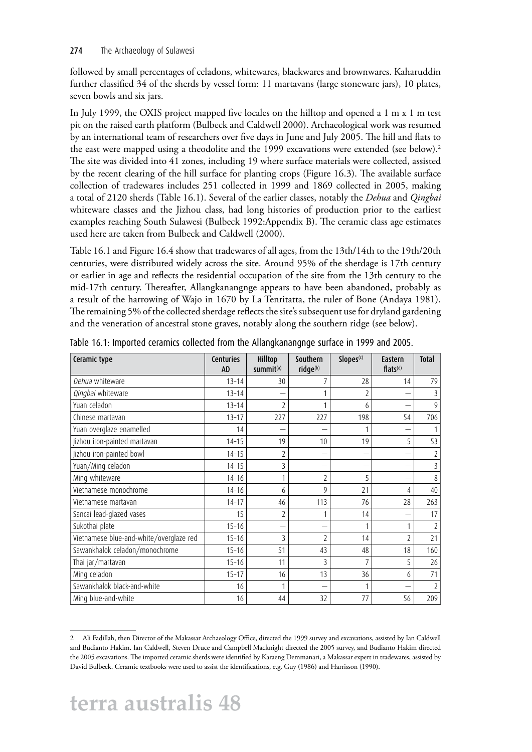#### 274 The Archaeology of Sulawesi

followed by small percentages of celadons, whitewares, blackwares and brownwares. Kaharuddin further classified 34 of the sherds by vessel form: 11 martavans (large stoneware jars), 10 plates, seven bowls and six jars.

In July 1999, the OXIS project mapped five locales on the hilltop and opened a 1 m x 1 m test pit on the raised earth platform (Bulbeck and Caldwell 2000). Archaeological work was resumed by an international team of researchers over five days in June and July 2005. The hill and flats to the east were mapped using a theodolite and the 1999 excavations were extended (see below).<sup>2</sup> The site was divided into 41 zones, including 19 where surface materials were collected, assisted by the recent clearing of the hill surface for planting crops (Figure 16.3). The available surface collection of tradewares includes 251 collected in 1999 and 1869 collected in 2005, making a total of 2120 sherds (Table 16.1). Several of the earlier classes, notably the *Dehua* and *Qingbai* whiteware classes and the Jizhou class, had long histories of production prior to the earliest examples reaching South Sulawesi (Bulbeck 1992:Appendix B). The ceramic class age estimates used here are taken from Bulbeck and Caldwell (2000).

Table 16.1 and Figure 16.4 show that tradewares of all ages, from the 13th/14th to the 19th/20th centuries, were distributed widely across the site. Around 95% of the sherdage is 17th century or earlier in age and reflects the residential occupation of the site from the 13th century to the mid-17th century. Thereafter, Allangkanangnge appears to have been abandoned, probably as a result of the harrowing of Wajo in 1670 by La Tenritatta, the ruler of Bone (Andaya 1981). The remaining 5% of the collected sherdage reflects the site's subsequent use for dryland gardening and the veneration of ancestral stone graves, notably along the southern ridge (see below).

| Ceramic type                            | <b>Centuries</b><br><b>AD</b> | Hilltop<br>summit <sup>(a)</sup> | Southern<br>ridge(b) | Slopes <sup>(c)</sup> | Eastern<br>flats <sup>(d)</sup> | <b>Total</b>   |
|-----------------------------------------|-------------------------------|----------------------------------|----------------------|-----------------------|---------------------------------|----------------|
| Dehua whiteware                         | $13 - 14$                     | 30                               |                      | 28                    | 14                              | 79             |
| Qingbai whiteware                       | $13 - 14$                     |                                  |                      |                       |                                 |                |
| Yuan celadon                            | $13 - 14$                     | 2                                |                      | 6                     |                                 | 9              |
| Chinese martavan                        | $13 - 17$                     | 227                              | 227                  | 198                   | 54                              | 706            |
| Yuan overglaze enamelled                | 14                            |                                  |                      |                       |                                 |                |
| Jizhou iron-painted martavan            | $14 - 15$                     | 19                               | 10                   | 19                    | 5                               | 53             |
| Jizhou iron-painted bowl                | $14 - 15$                     | 2                                |                      |                       |                                 |                |
| Yuan/Ming celadon                       | $14 - 15$                     | 3                                |                      |                       | -                               | 3              |
| Ming whiteware                          | $14 - 16$                     |                                  | $\overline{2}$       | 5                     |                                 | 8              |
| Vietnamese monochrome                   | $14 - 16$                     | 6                                | 9                    | 21                    | 4                               | 40             |
| Vietnamese martavan                     | $14 - 17$                     | 46                               | 113                  | 76                    | 28                              | 263            |
| Sancai lead-glazed vases                | 15                            | 2                                |                      | 14                    |                                 | 17             |
| Sukothai plate                          | $15 - 16$                     |                                  |                      |                       | 1                               | $\overline{2}$ |
| Vietnamese blue-and-white/overglaze red | $15 - 16$                     | 3                                | 2                    | 14                    | $\overline{2}$                  | 21             |
| Sawankhalok celadon/monochrome          | $15 - 16$                     | 51                               | 43                   | 48                    | 18                              | 160            |
| Thai jar/martavan                       | $15 - 16$                     | 11                               | 3                    |                       | 5                               | 26             |
| Ming celadon                            | $15 - 17$                     | 16                               | 13                   | 36                    | 6                               | 71             |
| Sawankhalok black-and-white             | 16                            |                                  |                      |                       |                                 |                |
| Ming blue-and-white                     | 16                            | 44                               | 32                   | 77                    | 56                              | 209            |

Table 16.1: Imported ceramics collected from the Allangkanangnge surface in 1999 and 2005.

<sup>2</sup> Ali Fadillah, then Director of the Makassar Archaeology Office, directed the 1999 survey and excavations, assisted by Ian Caldwell and Budianto Hakim. Ian Caldwell, Steven Druce and Campbell Macknight directed the 2005 survey, and Budianto Hakim directed the 2005 excavations. The imported ceramic sherds were identified by Karaeng Demmanari, a Makassar expert in tradewares, assisted by David Bulbeck. Ceramic textbooks were used to assist the identifications, e.g. Guy (1986) and Harrisson (1990).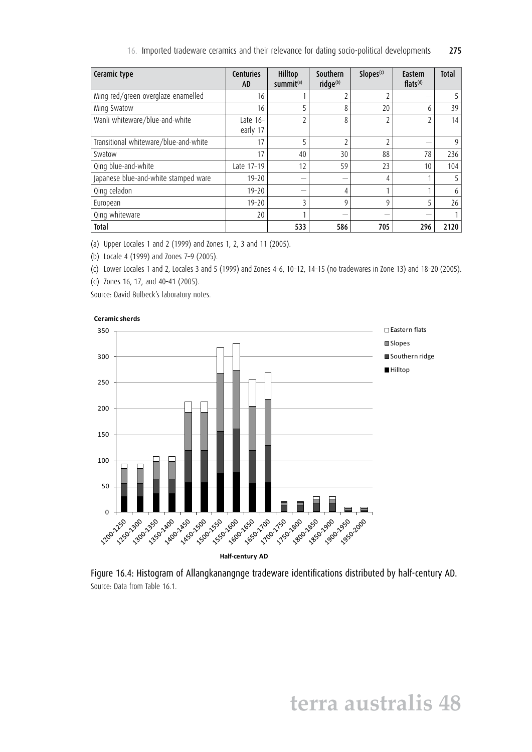16. Imported tradeware ceramics and their relevance for dating socio-political developments 275

| Ceramic type                          | <b>Centuries</b><br><b>AD</b> | Hilltop<br>summit $(a)$ | Southern<br>ridge(b) | Slopes <sup>(c)</sup> | Eastern<br>$flats^{(d)}$ | <b>Total</b> |
|---------------------------------------|-------------------------------|-------------------------|----------------------|-----------------------|--------------------------|--------------|
| Ming red/green overglaze enamelled    | 16                            |                         |                      |                       |                          |              |
| Ming Swatow                           | 16                            |                         | 8                    | 20                    | 6                        | 39           |
| Wanli whiteware/blue-and-white        | Late $16-$<br>early 17        |                         | 8                    |                       | 2                        | 14           |
| Transitional whiteware/blue-and-white | 17                            |                         |                      |                       |                          | 9            |
| Swatow                                | 17                            | 40                      | 30                   | 88                    | 78                       | 236          |
| Qing blue-and-white                   | Late 17-19                    | 12                      | 59                   | 23                    | 10                       | 104          |
| Japanese blue-and-white stamped ware  | $19 - 20$                     |                         |                      | 4                     |                          |              |
| Qing celadon                          | $19 - 20$                     |                         | 4                    |                       |                          | 6            |
| European                              | $19 - 20$                     |                         | 9                    | $\mathsf{Q}$          | 5                        | 26           |
| Qing whiteware                        | 20                            |                         |                      |                       |                          |              |
| <b>Total</b>                          |                               | 533                     | 586                  | 705                   | 296                      | 2120         |

(a) Upper Locales 1 and 2 (1999) and Zones 1, 2, 3 and 11 (2005).

(b) Locale 4 (1999) and Zones 7–9 (2005).

(c) Lower Locales 1 and 2, Locales 3 and 5 (1999) and Zones 4–6, 10–12, 14–15 (no tradewares in Zone 13) and 18–20 (2005).

(d) Zones 16, 17, and 40–41 (2005).

Source: David Bulbeck's laboratory notes.





Figure 16.4: Histogram of Allangkanangnge tradeware identifications distributed by half-century AD. Source: Data from Table 16.1.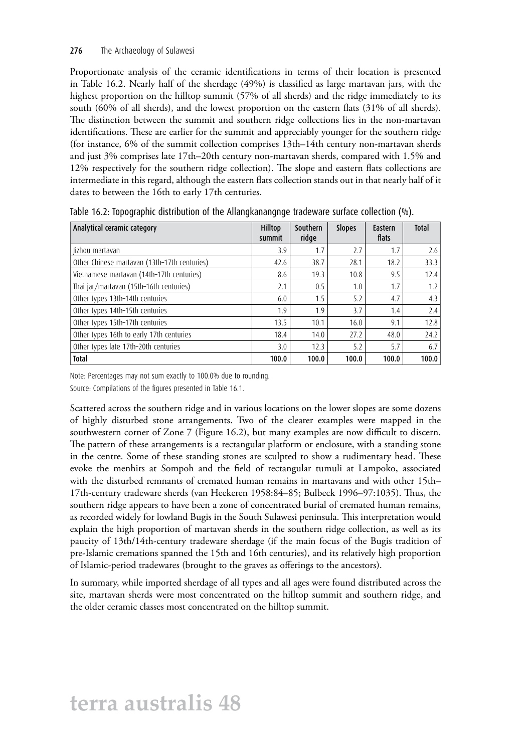Proportionate analysis of the ceramic identifications in terms of their location is presented in Table 16.2. Nearly half of the sherdage (49%) is classified as large martavan jars, with the highest proportion on the hilltop summit (57% of all sherds) and the ridge immediately to its south (60% of all sherds), and the lowest proportion on the eastern flats (31% of all sherds). The distinction between the summit and southern ridge collections lies in the non-martavan identifications. These are earlier for the summit and appreciably younger for the southern ridge (for instance, 6% of the summit collection comprises 13th–14th century non-martavan sherds and just 3% comprises late 17th–20th century non-martavan sherds, compared with 1.5% and 12% respectively for the southern ridge collection). The slope and eastern flats collections are intermediate in this regard, although the eastern flats collection stands out in that nearly half of it dates to between the 16th to early 17th centuries.

| Analytical ceramic category                  | Hilltop<br>summit | Southern<br>ridge | <b>Slopes</b> | Eastern<br>flats | <b>Total</b> |
|----------------------------------------------|-------------------|-------------------|---------------|------------------|--------------|
| lizhou martavan                              | 3.9               | 1.7               | 2.7           | 1.7              | 2.6          |
| Other Chinese martavan (13th-17th centuries) | 42.6              | 38.7              | 28.1          | 18.2             | 33.3         |
| Vietnamese martavan (14th-17th centuries)    | 8.6               | 19.3              | 10.8          | 9.5              | 12.4         |
| Thai jar/martavan (15th-16th centuries)      | 2.1               | 0.5               | 1.0           | 1.7              | 1.2          |
| Other types 13th-14th centuries              | 6.0               | 1.5               | 5.2           | 4.7              | 4.3          |
| Other types 14th-15th centuries              | 1.9               | 1.9               | 3.7           | 1.4              | 2.4          |
| Other types 15th-17th centuries              | 13.5              | 10.1              | 16.0          | 9.1              | 12.8         |
| Other types 16th to early 17th centuries     | 18.4              | 14.0              | 27.2          | 48.0             | 24.2         |
| Other types late 17th-20th centuries         | 3.0               | 12.3              | 5.2           | 5.7              | 6.7          |
| <b>Total</b>                                 | 100.0             | 100.0             | 100.0         | 100.0            | 100.0        |

Table 16.2: Topographic distribution of the Allangkanangnge tradeware surface collection (%).

Note: Percentages may not sum exactly to 100.0% due to rounding.

Source: Compilations of the figures presented in Table 16.1.

Scattered across the southern ridge and in various locations on the lower slopes are some dozens of highly disturbed stone arrangements. Two of the clearer examples were mapped in the southwestern corner of Zone 7 (Figure 16.2), but many examples are now difficult to discern. The pattern of these arrangements is a rectangular platform or enclosure, with a standing stone in the centre. Some of these standing stones are sculpted to show a rudimentary head. These evoke the menhirs at Sompoh and the field of rectangular tumuli at Lampoko, associated with the disturbed remnants of cremated human remains in martavans and with other 15th– 17th-century tradeware sherds (van Heekeren 1958:84–85; Bulbeck 1996–97:1035). Thus, the southern ridge appears to have been a zone of concentrated burial of cremated human remains, as recorded widely for lowland Bugis in the South Sulawesi peninsula. This interpretation would explain the high proportion of martavan sherds in the southern ridge collection, as well as its paucity of 13th/14th-century tradeware sherdage (if the main focus of the Bugis tradition of pre-Islamic cremations spanned the 15th and 16th centuries), and its relatively high proportion of Islamic-period tradewares (brought to the graves as offerings to the ancestors).

In summary, while imported sherdage of all types and all ages were found distributed across the site, martavan sherds were most concentrated on the hilltop summit and southern ridge, and the older ceramic classes most concentrated on the hilltop summit.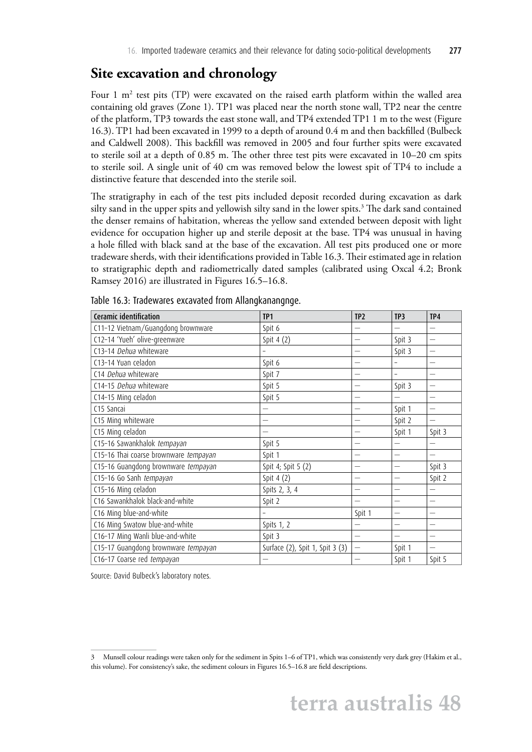#### **Site excavation and chronology**

Four 1 m<sup>2</sup> test pits (TP) were excavated on the raised earth platform within the walled area containing old graves (Zone 1). TP1 was placed near the north stone wall, TP2 near the centre of the platform, TP3 towards the east stone wall, and TP4 extended TP1 1 m to the west (Figure 16.3). TP1 had been excavated in 1999 to a depth of around 0.4 m and then backfilled (Bulbeck and Caldwell 2008). This backfill was removed in 2005 and four further spits were excavated to sterile soil at a depth of 0.85 m. The other three test pits were excavated in 10–20 cm spits to sterile soil. A single unit of 40 cm was removed below the lowest spit of TP4 to include a distinctive feature that descended into the sterile soil.

The stratigraphy in each of the test pits included deposit recorded during excavation as dark silty sand in the upper spits and yellowish silty sand in the lower spits. $^3$  The dark sand contained the denser remains of habitation, whereas the yellow sand extended between deposit with light evidence for occupation higher up and sterile deposit at the base. TP4 was unusual in having a hole filled with black sand at the base of the excavation. All test pits produced one or more tradeware sherds, with their identifications provided in Table 16.3. Their estimated age in relation to stratigraphic depth and radiometrically dated samples (calibrated using Oxcal 4.2; Bronk Ramsey 2016) are illustrated in Figures 16.5–16.8.

| Ceramic identification                | TP <sub>1</sub>                 | TP <sub>2</sub>          | TP3                      | TP4                      |
|---------------------------------------|---------------------------------|--------------------------|--------------------------|--------------------------|
| C11-12 Vietnam/Guangdong brownware    | Spit 6                          |                          |                          |                          |
| C12-14 'Yueh' olive-greenware         | Spit 4 (2)                      |                          | Spit 3                   |                          |
| C13-14 Dehua whiteware                | -                               | -                        | Spit 3                   | $\overline{\phantom{0}}$ |
| C13-14 Yuan celadon                   | Spit 6                          |                          |                          |                          |
| C14 Dehua whiteware                   | Spit 7                          |                          | $\overline{\phantom{a}}$ |                          |
| C14-15 Dehua whiteware                | Spit 5                          |                          | Spit 3                   | -                        |
| C14-15 Ming celadon                   | Spit 5                          |                          |                          |                          |
| C15 Sancai                            |                                 |                          | Spit 1                   |                          |
| C15 Ming whiteware                    | -                               |                          | Spit 2                   | $\overline{\phantom{0}}$ |
| C15 Ming celadon                      | -                               |                          | Spit 1                   | Spit 3                   |
| C15-16 Sawankhalok tempayan           | Spit 5                          |                          | -                        |                          |
| C15-16 Thai coarse brownware tempayan | Spit 1                          |                          |                          |                          |
| C15-16 Guangdong brownware tempayan   | Spit 4; Spit 5 (2)              | -                        | $\overline{\phantom{0}}$ | Spit 3                   |
| C15-16 Go Sanh tempayan               | Spit 4 (2)                      | $\overline{\phantom{0}}$ | $\overline{\phantom{0}}$ | Spit 2                   |
| C15-16 Ming celadon                   | Spits 2, 3, 4                   |                          |                          |                          |
| C16 Sawankhalok black-and-white       | Spit 2                          |                          | -                        | -                        |
| C16 Ming blue-and-white               |                                 | Spit 1                   |                          |                          |
| C16 Ming Swatow blue-and-white        | Spits 1, 2                      |                          |                          |                          |
| C16-17 Ming Wanli blue-and-white      | Spit 3                          | $\overline{\phantom{0}}$ |                          | $\overline{\phantom{0}}$ |
| C15-17 Guangdong brownware tempayan   | Surface (2), Spit 1, Spit 3 (3) | $\overline{\phantom{0}}$ | Spit 1                   |                          |
| C16-17 Coarse red tempayan            |                                 |                          | Spit 1                   | Spit 5                   |

Table 16.3: Tradewares excavated from Allangkanangnge.

Source: David Bulbeck's laboratory notes.

<sup>3</sup> Munsell colour readings were taken only for the sediment in Spits 1–6 of TP1, which was consistently very dark grey (Hakim et al., this volume). For consistency's sake, the sediment colours in Figures 16.5–16.8 are field descriptions.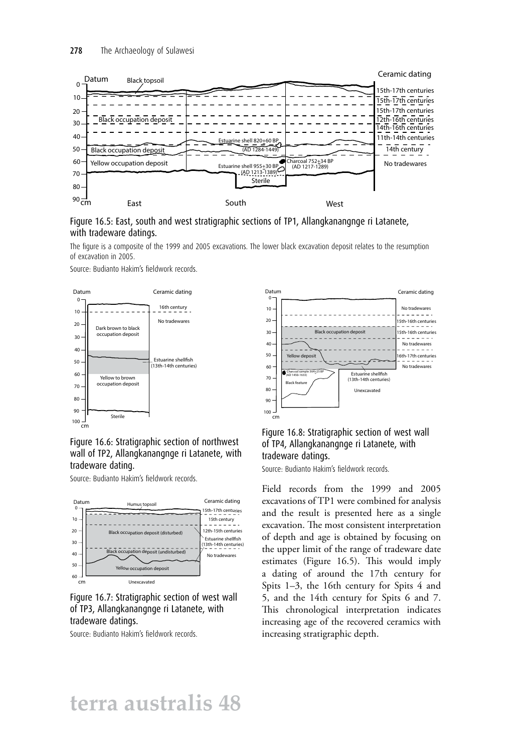

Figure 16.5: East, south and west stratigraphic sections of TP1, Allangkanangnge ri Latanete, with tradeware datings.

The figure is a composite of the 1999 and 2005 excavations. The lower black excavation deposit relates to the resumption of excavation in 2005.

Source: Budianto Hakim's fieldwork records.





Source: Budianto Hakim's fieldwork records.



Figure 16.7: Stratigraphic section of west wall of TP3, Allangkanangnge ri Latanete, with tradeware datings.

Source: Budianto Hakim's fieldwork records.



#### Figure 16.8: Stratigraphic section of west wall of TP4, Allangkanangnge ri Latanete, with tradeware datings.

Source: Budianto Hakim's fieldwork records.

Field records from the 1999 and 2005 excavations of TP1 were combined for analysis and the result is presented here as a single excavation. The most consistent interpretation of depth and age is obtained by focusing on the upper limit of the range of tradeware date estimates (Figure 16.5). This would imply a dating of around the 17th century for Spits 1–3, the 16th century for Spits 4 and 5, and the 14th century for Spits 6 and 7. This chronological interpretation indicates increasing age of the recovered ceramics with increasing stratigraphic depth.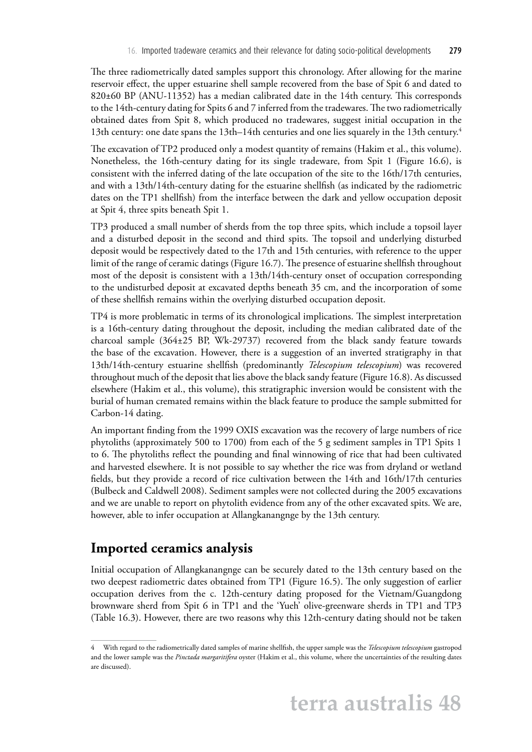The three radiometrically dated samples support this chronology. After allowing for the marine reservoir effect, the upper estuarine shell sample recovered from the base of Spit 6 and dated to 820±60 BP (ANU-11352) has a median calibrated date in the 14th century. This corresponds to the 14th-century dating for Spits 6 and 7 inferred from the tradewares. The two radiometrically obtained dates from Spit 8, which produced no tradewares, suggest initial occupation in the 13th century: one date spans the 13th–14th centuries and one lies squarely in the 13th century.4

The excavation of TP2 produced only a modest quantity of remains (Hakim et al., this volume). Nonetheless, the 16th-century dating for its single tradeware, from Spit 1 (Figure 16.6), is consistent with the inferred dating of the late occupation of the site to the 16th/17th centuries, and with a 13th/14th-century dating for the estuarine shellfish (as indicated by the radiometric dates on the TP1 shellfish) from the interface between the dark and yellow occupation deposit at Spit 4, three spits beneath Spit 1.

TP3 produced a small number of sherds from the top three spits, which include a topsoil layer and a disturbed deposit in the second and third spits. The topsoil and underlying disturbed deposit would be respectively dated to the 17th and 15th centuries, with reference to the upper limit of the range of ceramic datings (Figure 16.7). The presence of estuarine shellfish throughout most of the deposit is consistent with a 13th/14th-century onset of occupation corresponding to the undisturbed deposit at excavated depths beneath 35 cm, and the incorporation of some of these shellfish remains within the overlying disturbed occupation deposit.

TP4 is more problematic in terms of its chronological implications. The simplest interpretation is a 16th-century dating throughout the deposit, including the median calibrated date of the charcoal sample (364±25 BP, Wk-29737) recovered from the black sandy feature towards the base of the excavation. However, there is a suggestion of an inverted stratigraphy in that 13th/14th-century estuarine shellfish (predominantly *Telescopium telescopium*) was recovered throughout much of the deposit that lies above the black sandy feature (Figure 16.8). As discussed elsewhere (Hakim et al., this volume), this stratigraphic inversion would be consistent with the burial of human cremated remains within the black feature to produce the sample submitted for Carbon-14 dating.

An important finding from the 1999 OXIS excavation was the recovery of large numbers of rice phytoliths (approximately 500 to 1700) from each of the 5 g sediment samples in TP1 Spits 1 to 6. The phytoliths reflect the pounding and final winnowing of rice that had been cultivated and harvested elsewhere. It is not possible to say whether the rice was from dryland or wetland fields, but they provide a record of rice cultivation between the 14th and 16th/17th centuries (Bulbeck and Caldwell 2008). Sediment samples were not collected during the 2005 excavations and we are unable to report on phytolith evidence from any of the other excavated spits. We are, however, able to infer occupation at Allangkanangnge by the 13th century.

### **Imported ceramics analysis**

Initial occupation of Allangkanangnge can be securely dated to the 13th century based on the two deepest radiometric dates obtained from TP1 (Figure 16.5). The only suggestion of earlier occupation derives from the c. 12th-century dating proposed for the Vietnam/Guangdong brownware sherd from Spit 6 in TP1 and the 'Yueh' olive-greenware sherds in TP1 and TP3 (Table 16.3). However, there are two reasons why this 12th-century dating should not be taken

<sup>4</sup> With regard to the radiometrically dated samples of marine shellfish, the upper sample was the *Telescopium telescopium* gastropod and the lower sample was the *Pinctada margaritifera* oyster (Hakim et al., this volume, where the uncertainties of the resulting dates are discussed).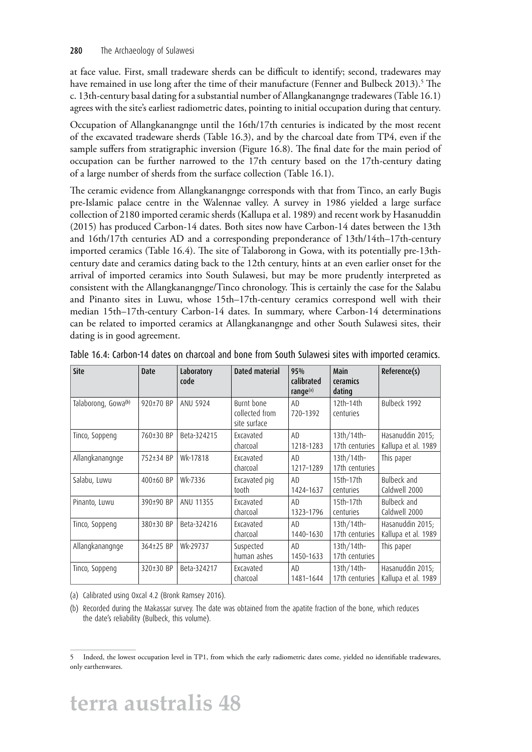at face value. First, small tradeware sherds can be difficult to identify; second, tradewares may have remained in use long after the time of their manufacture (Fenner and Bulbeck 2013).<sup>5</sup> The c. 13th-century basal dating for a substantial number of Allangkanangnge tradewares (Table 16.1) agrees with the site's earliest radiometric dates, pointing to initial occupation during that century.

Occupation of Allangkanangnge until the 16th/17th centuries is indicated by the most recent of the excavated tradeware sherds (Table 16.3), and by the charcoal date from TP4, even if the sample suffers from stratigraphic inversion (Figure 16.8). The final date for the main period of occupation can be further narrowed to the 17th century based on the 17th-century dating of a large number of sherds from the surface collection (Table 16.1).

The ceramic evidence from Allangkanangnge corresponds with that from Tinco, an early Bugis pre-Islamic palace centre in the Walennae valley. A survey in 1986 yielded a large surface collection of 2180 imported ceramic sherds (Kallupa et al. 1989) and recent work by Hasanuddin (2015) has produced Carbon-14 dates. Both sites now have Carbon-14 dates between the 13th and 16th/17th centuries AD and a corresponding preponderance of 13th/14th–17th-century imported ceramics (Table 16.4). The site of Talaborong in Gowa, with its potentially pre-13thcentury date and ceramics dating back to the 12th century, hints at an even earlier onset for the arrival of imported ceramics into South Sulawesi, but may be more prudently interpreted as consistent with the Allangkanangnge/Tinco chronology. This is certainly the case for the Salabu and Pinanto sites in Luwu, whose 15th–17th-century ceramics correspond well with their median 15th–17th-century Carbon-14 dates. In summary, where Carbon-14 determinations can be related to imported ceramics at Allangkanangnge and other South Sulawesi sites, their dating is in good agreement.

| Site                            | Date      | Laboratory<br>code | Dated material                               | 95%<br>calibrated<br>range <sup>(a)</sup> | Main<br>ceramics<br>dating     | Reference(s)                            |
|---------------------------------|-----------|--------------------|----------------------------------------------|-------------------------------------------|--------------------------------|-----------------------------------------|
| Talaborong, Gowa <sup>(b)</sup> | 920±70 BP | ANU 5924           | Burnt bone<br>collected from<br>site surface | AD.<br>720-1392                           | $12th-14th$<br>centuries       | Bulbeck 1992                            |
| Tinco, Soppeng                  | 760±30 BP | Beta-324215        | Excavated<br>charcoal                        | AD.<br>1218-1283                          | $13th/14th-$<br>17th centuries | Hasanuddin 2015;<br>Kallupa et al. 1989 |
| Allangkanangnge                 | 752±34 BP | Wk-17818           | Excavated<br>charcoal                        | AD.<br>1217-1289                          | $13th/14th-$<br>17th centuries | This paper                              |
| Salabu, Luwu                    | 400±60 BP | Wk-7336            | Excavated pig<br>tooth                       | AD<br>1424-1637                           | $15th-17th$<br>centuries       | Bulbeck and<br>Caldwell 2000            |
| Pinanto, Luwu                   | 390±90 BP | ANU 11355          | Excavated<br>charcoal                        | AD.<br>1323-1796                          | $15th-17th$<br>centuries       | Bulbeck and<br>Caldwell 2000            |
| Tinco, Soppeng                  | 380±30 BP | Beta-324216        | Excavated<br>charcoal                        | AD.<br>1440-1630                          | $13th/14th-$<br>17th centuries | Hasanuddin 2015;<br>Kallupa et al. 1989 |
| Allangkanangnge                 | 364±25 BP | Wk-29737           | Suspected<br>human ashes                     | AD.<br>1450-1633                          | $13th/14th-$<br>17th centuries | This paper                              |
| Tinco, Soppeng                  | 320±30 BP | Beta-324217        | Excavated<br>charcoal                        | AD.<br>1481-1644                          | $13th/14th-$<br>17th centuries | Hasanuddin 2015;<br>Kallupa et al. 1989 |

| Table 16.4: Carbon-14 dates on charcoal and bone from South Sulawesi sites with imported ceramics. |  |
|----------------------------------------------------------------------------------------------------|--|
|----------------------------------------------------------------------------------------------------|--|

(a) Calibrated using Oxcal 4.2 (Bronk Ramsey 2016).

(b) Recorded during the Makassar survey. The date was obtained from the apatite fraction of the bone, which reduces the date's reliability (Bulbeck, this volume).

<sup>5</sup> Indeed, the lowest occupation level in TP1, from which the early radiometric dates come, yielded no identifiable tradewares, only earthenwares.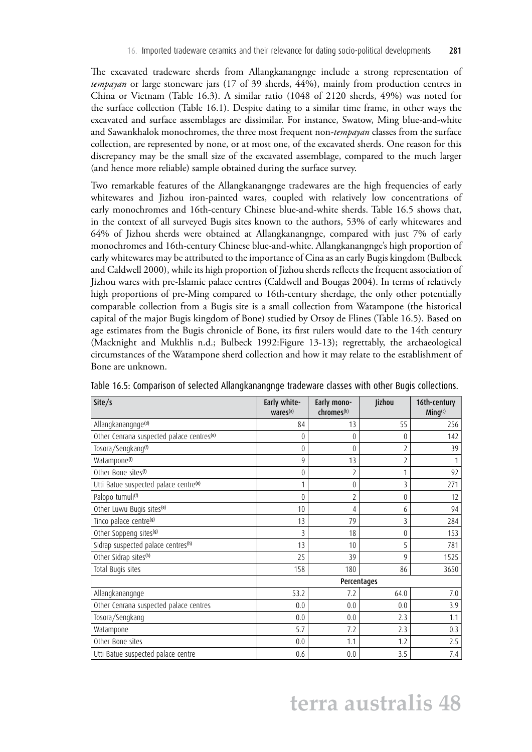The excavated tradeware sherds from Allangkanangnge include a strong representation of *tempayan* or large stoneware jars (17 of 39 sherds, 44%), mainly from production centres in China or Vietnam (Table 16.3). A similar ratio (1048 of 2120 sherds, 49%) was noted for the surface collection (Table 16.1). Despite dating to a similar time frame, in other ways the excavated and surface assemblages are dissimilar. For instance, Swatow, Ming blue-and-white and Sawankhalok monochromes, the three most frequent non-*tempayan* classes from the surface collection, are represented by none, or at most one, of the excavated sherds. One reason for this discrepancy may be the small size of the excavated assemblage, compared to the much larger (and hence more reliable) sample obtained during the surface survey.

Two remarkable features of the Allangkanangnge tradewares are the high frequencies of early whitewares and Jizhou iron-painted wares, coupled with relatively low concentrations of early monochromes and 16th-century Chinese blue-and-white sherds. Table 16.5 shows that, in the context of all surveyed Bugis sites known to the authors, 53% of early whitewares and 64% of Jizhou sherds were obtained at Allangkanangnge, compared with just 7% of early monochromes and 16th-century Chinese blue-and-white. Allangkanangnge's high proportion of early whitewares may be attributed to the importance of Cina as an early Bugis kingdom (Bulbeck and Caldwell 2000), while its high proportion of Jizhou sherds reflects the frequent association of Jizhou wares with pre-Islamic palace centres (Caldwell and Bougas 2004). In terms of relatively high proportions of pre-Ming compared to 16th-century sherdage, the only other potentially comparable collection from a Bugis site is a small collection from Watampone (the historical capital of the major Bugis kingdom of Bone) studied by Orsoy de Flines (Table 16.5). Based on age estimates from the Bugis chronicle of Bone, its first rulers would date to the 14th century (Macknight and Mukhlis n.d.; Bulbeck 1992:Figure 13-13); regrettably, the archaeological circumstances of the Watampone sherd collection and how it may relate to the establishment of Bone are unknown.

| Site/s                                                | Early white-<br>wares <sup>(a)</sup> | Early mono-<br>chromes <sup>(b)</sup> | Jizhou         | 16th-century<br>$Ming^{(c)}$ |
|-------------------------------------------------------|--------------------------------------|---------------------------------------|----------------|------------------------------|
| Allangkanangnge <sup>(d)</sup>                        | 84                                   | 13                                    | 55             | 256                          |
| Other Cenrana suspected palace centres <sup>(e)</sup> | 0                                    | 0                                     | $\theta$       | 142                          |
| Tosora/Sengkang <sup>(f)</sup>                        | $\overline{0}$                       | $\theta$                              | 2              | 39                           |
| Watampone <sup>(f)</sup>                              | 9                                    | 13                                    | $\overline{2}$ |                              |
| Other Bone sites <sup>(f)</sup>                       | $\overline{0}$                       | 2                                     |                | 92                           |
| Utti Batue suspected palace centre <sup>(e)</sup>     |                                      | $\theta$                              | 3              | 271                          |
| Palopo tumuli <sup>(f)</sup>                          | $\theta$                             | $\overline{2}$                        | $\theta$       | 12                           |
| Other Luwu Bugis sites <sup>(e)</sup>                 | 10                                   | 4                                     | 6              | 94                           |
| Tinco palace centre <sup>(g)</sup>                    | 13                                   | 79                                    | 3              | 284                          |
| Other Soppeng sites <sup>(g)</sup>                    | 3                                    | 18                                    | $\theta$       | 153                          |
| Sidrap suspected palace centres <sup>(h)</sup>        | 13                                   | 10                                    | 5              | 781                          |
| Other Sidrap sites <sup>(h)</sup>                     | 25                                   | 39                                    | 9              | 1525                         |
| Total Bugis sites                                     | 158                                  | 180                                   | 86             | 3650                         |
|                                                       |                                      |                                       | Percentages    |                              |
| Allangkanangnge                                       | 53.2                                 | 7.2                                   | 64.0           | 7.0                          |
| Other Cenrana suspected palace centres                | 0.0                                  | 0.0                                   | 0.0            | 3.9                          |
| Tosora/Sengkang                                       | 0.0                                  | 0.0                                   | 2.3            | 1.1                          |
| Watampone                                             | 5.7                                  | 7.2                                   | 2.3            | 0.3                          |
| Other Bone sites                                      | 0.0                                  | 1.1                                   | 1.2            | 2.5                          |
| Utti Batue suspected palace centre                    | 0.6                                  | 0.0                                   | 3.5            | 7.4                          |

Table 16.5: Comparison of selected Allangkanangnge tradeware classes with other Bugis collections.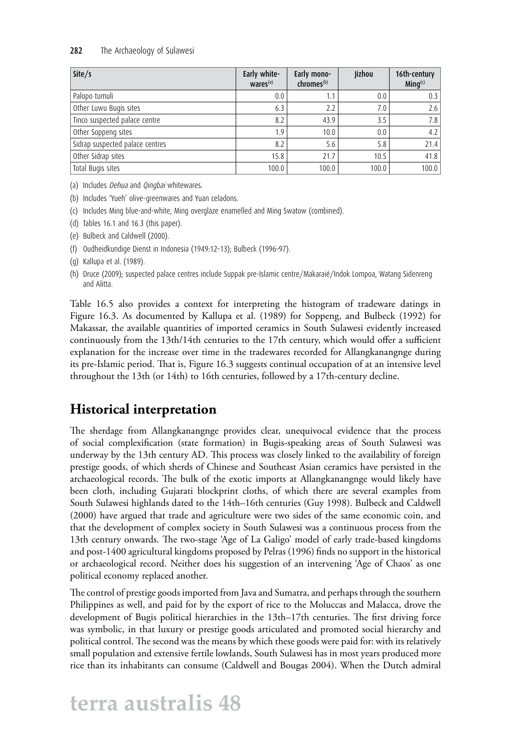#### 282 The Archaeology of Sulawesi

| Site/s                          | Early white-<br>$Wares^{(a)}$ | Early mono-<br>chromes <sup>(b)</sup> | Jizhou | 16th-century<br>$Minq^{(c)}$ |
|---------------------------------|-------------------------------|---------------------------------------|--------|------------------------------|
| Palopo tumuli                   | 0.0                           | 1.1                                   | 0.0    | 0.3                          |
| Other Luwu Bugis sites          | 6.3                           | 2.2                                   | 7.0    | 2.6                          |
| Tinco suspected palace centre   | 8.2                           | 43.9                                  | 3.5    | 7.8                          |
| Other Soppeng sites             | 1.9                           | 10.0                                  | 0.0    | 4.2                          |
| Sidrap suspected palace centres | 8.2                           | 5.6                                   | 5.8    | 21.4                         |
| Other Sidrap sites              | 15.8                          | 21.7                                  | 10.5   | 41.8                         |
| Total Bugis sites               | 100.0                         | 100.0                                 | 100.0  | 100.0                        |

(a) Includes Dehua and Qingbai whitewares.

(b) Includes 'Yueh' olive-greenwares and Yuan celadons.

(c) Includes Ming blue-and-white, Ming overglaze enamelled and Ming Swatow (combined).

(d) Tables 16.1 and 16.3 (this paper).

(e) Bulbeck and Caldwell (2000).

(f) Oudheidkundige Dienst in Indonesia (1949:12–13); Bulbeck (1996–97).

(g) Kallupa et al. (1989).

(h) Druce (2009); suspected palace centres include Suppak pre-Islamic centre/Makaraié/Indok Lompoa, Watang Sidenreng and Alitta.

Table 16.5 also provides a context for interpreting the histogram of tradeware datings in Figure 16.3. As documented by Kallupa et al. (1989) for Soppeng, and Bulbeck (1992) for Makassar, the available quantities of imported ceramics in South Sulawesi evidently increased continuously from the 13th/14th centuries to the 17th century, which would offer a sufficient explanation for the increase over time in the tradewares recorded for Allangkanangnge during its pre-Islamic period. That is, Figure 16.3 suggests continual occupation of at an intensive level throughout the 13th (or 14th) to 16th centuries, followed by a 17th-century decline.

### **Historical interpretation**

The sherdage from Allangkanangnge provides clear, unequivocal evidence that the process of social complexification (state formation) in Bugis-speaking areas of South Sulawesi was underway by the 13th century AD. This process was closely linked to the availability of foreign prestige goods, of which sherds of Chinese and Southeast Asian ceramics have persisted in the archaeological records. The bulk of the exotic imports at Allangkanangnge would likely have been cloth, including Gujarati blockprint cloths, of which there are several examples from South Sulawesi highlands dated to the 14th–16th centuries (Guy 1998). Bulbeck and Caldwell (2000) have argued that trade and agriculture were two sides of the same economic coin, and that the development of complex society in South Sulawesi was a continuous process from the 13th century onwards. The two-stage 'Age of La Galigo' model of early trade-based kingdoms and post-1400 agricultural kingdoms proposed by Pelras (1996) finds no support in the historical or archaeological record. Neither does his suggestion of an intervening 'Age of Chaos' as one political economy replaced another.

The control of prestige goods imported from Java and Sumatra, and perhaps through the southern Philippines as well, and paid for by the export of rice to the Moluccas and Malacca, drove the development of Bugis political hierarchies in the 13th–17th centuries. The first driving force was symbolic, in that luxury or prestige goods articulated and promoted social hierarchy and political control. The second was the means by which these goods were paid for: with its relatively small population and extensive fertile lowlands, South Sulawesi has in most years produced more rice than its inhabitants can consume (Caldwell and Bougas 2004). When the Dutch admiral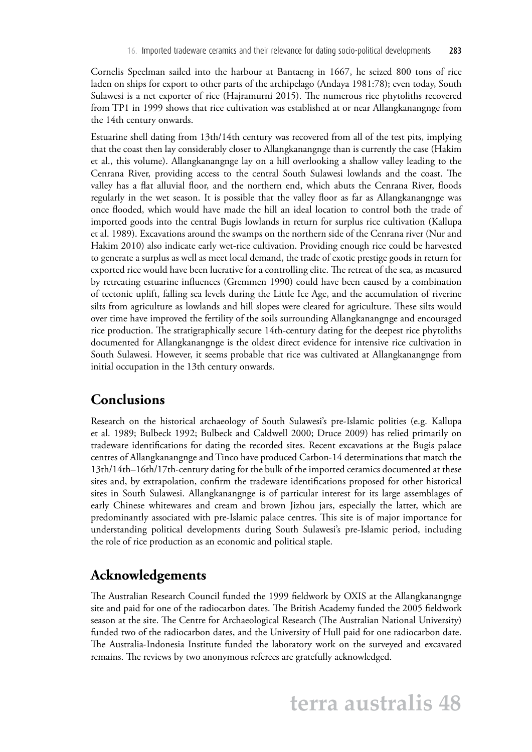Cornelis Speelman sailed into the harbour at Bantaeng in 1667, he seized 800 tons of rice laden on ships for export to other parts of the archipelago (Andaya 1981:78); even today, South Sulawesi is a net exporter of rice (Hajramurni 2015). The numerous rice phytoliths recovered from TP1 in 1999 shows that rice cultivation was established at or near Allangkanangnge from the 14th century onwards.

Estuarine shell dating from 13th/14th century was recovered from all of the test pits, implying that the coast then lay considerably closer to Allangkanangnge than is currently the case (Hakim et al., this volume). Allangkanangnge lay on a hill overlooking a shallow valley leading to the Cenrana River, providing access to the central South Sulawesi lowlands and the coast. The valley has a flat alluvial floor, and the northern end, which abuts the Cenrana River, floods regularly in the wet season. It is possible that the valley floor as far as Allangkanangnge was once flooded, which would have made the hill an ideal location to control both the trade of imported goods into the central Bugis lowlands in return for surplus rice cultivation (Kallupa et al. 1989). Excavations around the swamps on the northern side of the Cenrana river (Nur and Hakim 2010) also indicate early wet-rice cultivation. Providing enough rice could be harvested to generate a surplus as well as meet local demand, the trade of exotic prestige goods in return for exported rice would have been lucrative for a controlling elite. The retreat of the sea, as measured by retreating estuarine influences (Gremmen 1990) could have been caused by a combination of tectonic uplift, falling sea levels during the Little Ice Age, and the accumulation of riverine silts from agriculture as lowlands and hill slopes were cleared for agriculture. These silts would over time have improved the fertility of the soils surrounding Allangkanangnge and encouraged rice production. The stratigraphically secure 14th-century dating for the deepest rice phytoliths documented for Allangkanangnge is the oldest direct evidence for intensive rice cultivation in South Sulawesi. However, it seems probable that rice was cultivated at Allangkanangnge from initial occupation in the 13th century onwards.

#### **Conclusions**

Research on the historical archaeology of South Sulawesi's pre-Islamic polities (e.g. Kallupa et al. 1989; Bulbeck 1992; Bulbeck and Caldwell 2000; Druce 2009) has relied primarily on tradeware identifications for dating the recorded sites. Recent excavations at the Bugis palace centres of Allangkanangnge and Tinco have produced Carbon-14 determinations that match the 13th/14th–16th/17th-century dating for the bulk of the imported ceramics documented at these sites and, by extrapolation, confirm the tradeware identifications proposed for other historical sites in South Sulawesi. Allangkanangnge is of particular interest for its large assemblages of early Chinese whitewares and cream and brown Jizhou jars, especially the latter, which are predominantly associated with pre-Islamic palace centres. This site is of major importance for understanding political developments during South Sulawesi's pre-Islamic period, including the role of rice production as an economic and political staple.

#### **Acknowledgements**

The Australian Research Council funded the 1999 fieldwork by OXIS at the Allangkanangnge site and paid for one of the radiocarbon dates. The British Academy funded the 2005 fieldwork season at the site. The Centre for Archaeological Research (The Australian National University) funded two of the radiocarbon dates, and the University of Hull paid for one radiocarbon date. The Australia-Indonesia Institute funded the laboratory work on the surveyed and excavated remains. The reviews by two anonymous referees are gratefully acknowledged.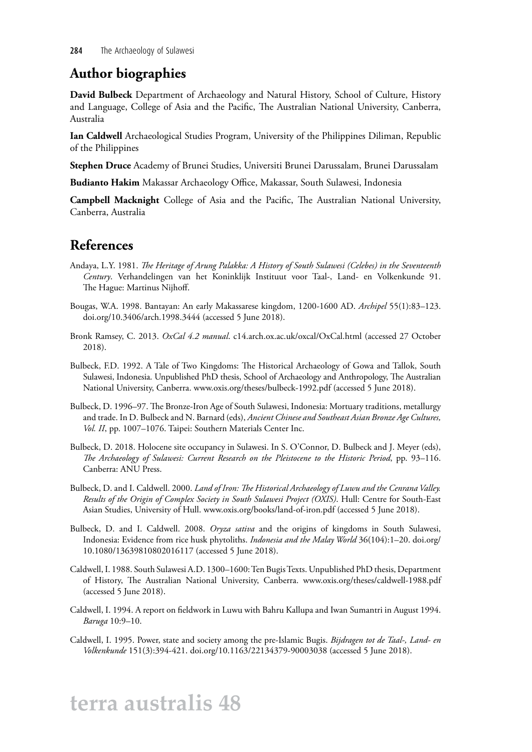### **Author biographies**

**David Bulbeck** Department of Archaeology and Natural History, School of Culture, History and Language, College of Asia and the Pacific, The Australian National University, Canberra, Australia

**Ian Caldwell** Archaeological Studies Program, University of the Philippines Diliman, Republic of the Philippines

**Stephen Druce** Academy of Brunei Studies, Universiti Brunei Darussalam, Brunei Darussalam

**Budianto Hakim** Makassar Archaeology Office, Makassar, South Sulawesi, Indonesia

**Campbell Macknight** College of Asia and the Pacific, The Australian National University, Canberra, Australia

### **References**

- Andaya, L.Y. 1981. *The Heritage of Arung Palakka: A History of South Sulawesi (Celebes) in the Seventeenth Century*. Verhandelingen van het Koninklijk Instituut voor Taal-, Land- en Volkenkunde 91. The Hague: Martinus Nijhoff.
- Bougas, W.A. 1998. Bantayan: An early Makassarese kingdom, 1200-1600 AD. *Archipel* 55(1):83–123. [doi.org/10.3406/arch.1998.3444](http://doi.org/10.3406/arch.1998.3444) (accessed 5 June 2018).
- Bronk Ramsey, C. 2013. *OxCal 4.2 manual*. [c14.arch.ox.ac.uk/oxcal/OxCal.html](http://c14.arch.ox.ac.uk/oxcal/OxCal.html) (accessed 27 October 2018).
- Bulbeck, F.D. 1992. A Tale of Two Kingdoms: The Historical Archaeology of Gowa and Tallok, South Sulawesi, Indonesia. Unpublished PhD thesis, School of Archaeology and Anthropology, The Australian National University, Canberra. [www.oxis.org/theses/bulbeck-1992.pdf](http://www.oxis.org/theses/bulbeck-1992.pdf) (accessed 5 June 2018).
- Bulbeck, D. 1996–97. The Bronze-Iron Age of South Sulawesi, Indonesia: Mortuary traditions, metallurgy and trade. In D. Bulbeck and N. Barnard (eds), *Ancient Chinese and Southeast Asian Bronze Age Cultures, Vol. II*, pp. 1007–1076. Taipei: Southern Materials Center Inc.
- Bulbeck, D. 2018. Holocene site occupancy in Sulawesi. In S. O'Connor, D. Bulbeck and J. Meyer (eds), *The Archaeology of Sulawesi: Current Research on the Pleistocene to the Historic Period*, pp. 93–116. Canberra: ANU Press.
- Bulbeck, D. and I. Caldwell. 2000. *Land of Iron: The Historical Archaeology of Luwu and the Cenrana Valley. Results of the Origin of Complex Society in South Sulawesi Project (OXIS)*. Hull: Centre for South-East Asian Studies, University of Hull. [www.oxis.org/books/land-of-iron.pdf](http://www.oxis.org/books/land-of-iron.pdf) (accessed 5 June 2018).
- Bulbeck, D. and I. Caldwell. 2008. *Oryza sativa* and the origins of kingdoms in South Sulawesi, Indonesia: Evidence from rice husk phytoliths. *Indonesia and the Malay World* 36(104):1–20. [doi.org/](http://doi.org/10.1080/13639810802016117) [10.1080/13639810802016117](http://doi.org/10.1080/13639810802016117) (accessed 5 June 2018).
- Caldwell, I. 1988. South Sulawesi A.D. 1300–1600: Ten Bugis Texts. Unpublished PhD thesis, Department of History, The Australian National University, Canberra. [www.oxis.org/theses/caldwell-1988.pdf](http://www.oxis.org/theses/caldwell-1988.pdf)  (accessed 5 June 2018).
- Caldwell, I. 1994. A report on fieldwork in Luwu with Bahru Kallupa and Iwan Sumantri in August 1994. *Baruga* 10:9–10.
- Caldwell, I. 1995. Power, state and society among the pre-Islamic Bugis. *Bijdragen tot de Taal-, Land- en Volkenkunde* 151(3):394-421. [doi.org/10.1163/22134379-90003038](http://doi.org/10.1163/22134379-90003038) (accessed 5 June 2018).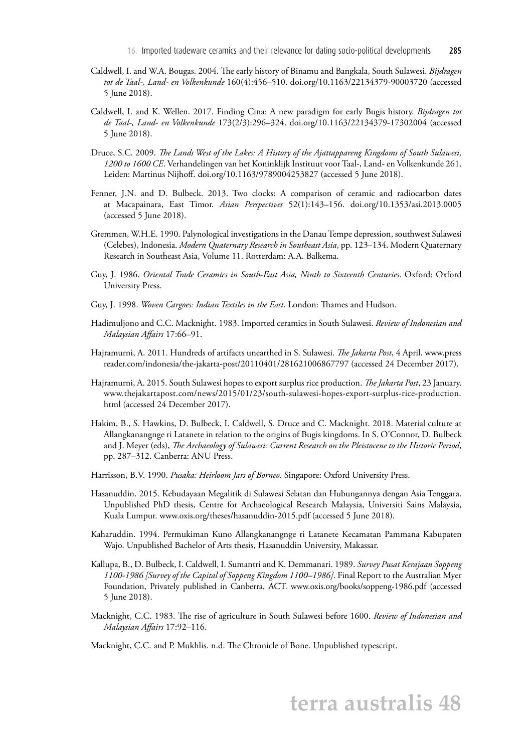- Caldwell, I. and W.A. Bougas. 2004. The early history of Binamu and Bangkala, South Sulawesi. *Bijdragen tot de Taal-, Land- en Volkenkunde* 160(4):456–510. [doi.org/10.1163/22134379-90003720](http://doi.org/10.1163/22134379-90003720) (accessed 5 June 2018).
- Caldwell, I. and K. Wellen. 2017. Finding Cina: A new paradigm for early Bugis history. *Bijdragen tot de Taal-, Land- en Volkenkunde* 173(2/3):296–324. [doi.org/10.1163/22134379-17302004](http://doi.org/10.1163/22134379-17302004) (accessed 5 June 2018).
- Druce, S.C. 2009. *The Lands West of the Lakes: A History of the Ajattappareng Kingdoms of South Sulawesi, 1200 to 1600 CE*. Verhandelingen van het Koninklijk Instituut voor Taal-, Land- en Volkenkunde 261. Leiden: Martinus Nijhoff. [doi.org/10.1163/9789004253827](http://doi.org/10.1163/9789004253827) (accessed 5 June 2018).
- Fenner, J.N. and D. Bulbeck. 2013. Two clocks: A comparison of ceramic and radiocarbon dates at Macapainara, East Timor. *Asian Perspectives* 52(1):143–156. [doi.org/10.1353/asi.2013.0005](http://doi.org/10.1353/asi.2013.0005)  (accessed 5 June 2018).
- Gremmen, W.H.E. 1990. Palynological investigations in the Danau Tempe depression, southwest Sulawesi (Celebes), Indonesia. *Modern Quaternary Research in Southeast Asia*, pp. 123–134. Modern Quaternary Research in Southeast Asia, Volume 11. Rotterdam: A.A. Balkema.
- Guy, J. 1986. *Oriental Trade Ceramics in South-East Asia, Ninth to Sixteenth Centuries*. Oxford: Oxford University Press.
- Guy, J. 1998. *Woven Cargoes: Indian Textiles in the East*. London: Thames and Hudson.
- Hadimuljono and C.C. Macknight. 1983. Imported ceramics in South Sulawesi. *Review of Indonesian and Malaysian Affairs* 17:66–91.
- Hajramurni, A. 2011. Hundreds of artifacts unearthed in S. Sulawesi. *The Jakarta Post*, 4 April. [www.press](http://www.pressreader.com/indonesia/the-jakarta-post/20110401/281621006867797) [reader.com/indonesia/the-jakarta-post/20110401/281621006867797](http://www.pressreader.com/indonesia/the-jakarta-post/20110401/281621006867797) (accessed 24 December 2017).
- Hajramurni, A. 2015. South Sulawesi hopes to export surplus rice production. *The Jakarta Post*, 23 January. [www.thejakartapost.com/news/2015/01/23/south-sulawesi-hopes-export-surplus-rice-production.](http://www.thejakartapost.com/news/2015/01/23/south-sulawesi-hopes-export-surplus-rice-production.html) [html](http://www.thejakartapost.com/news/2015/01/23/south-sulawesi-hopes-export-surplus-rice-production.html) (accessed 24 December 2017).
- Hakim, B., S. Hawkins, D. Bulbeck, I. Caldwell, S. Druce and C. Macknight. 2018. Material culture at Allangkanangnge ri Latanete in relation to the origins of Bugis kingdoms. In S. O'Connor, D. Bulbeck and J. Meyer (eds), *The Archaeology of Sulawesi: Current Research on the Pleistocene to the Historic Period*, pp. 287–312. Canberra: ANU Press.
- Harrisson, B.V. 1990. *Pusaka: Heirloom Jars of Borneo*. Singapore: Oxford University Press.
- Hasanuddin. 2015. Kebudayaan Megalitik di Sulawesi Selatan dan Hubungannya dengan Asia Tenggara. Unpublished PhD thesis, Centre for Archaeological Research Malaysia, Universiti Sains Malaysia, Kuala Lumpur. [www.oxis.org/theses/hasanuddin-2015.pdf](http://www.oxis.org/theses/hasanuddin-2015.pdf) (accessed 5 June 2018).
- Kaharuddin. 1994. Permukiman Kuno Allangkanangnge ri Latanete Kecamatan Pammana Kabupaten Wajo. Unpublished Bachelor of Arts thesis, Hasanuddin University, Makassar.
- Kallupa, B., D. Bulbeck, I. Caldwell, I. Sumantri and K. Demmanari. 1989. *Survey Pusat Kerajaan Soppeng 1100-1986 [Survey of the Capital of Soppeng Kingdom 1100–1986]*. Final Report to the Australian Myer Foundation, Privately published in Canberra, ACT. [www.oxis.org/books/soppeng-1986.pdf](http://www.oxis.org/books/soppeng-1986.pdf) (accessed 5 June 2018).
- Macknight, C.C. 1983. The rise of agriculture in South Sulawesi before 1600. *Review of Indonesian and Malaysian Affairs* 17:92–116.

Macknight, C.C. and P. Mukhlis. n.d. The Chronicle of Bone. Unpublished typescript.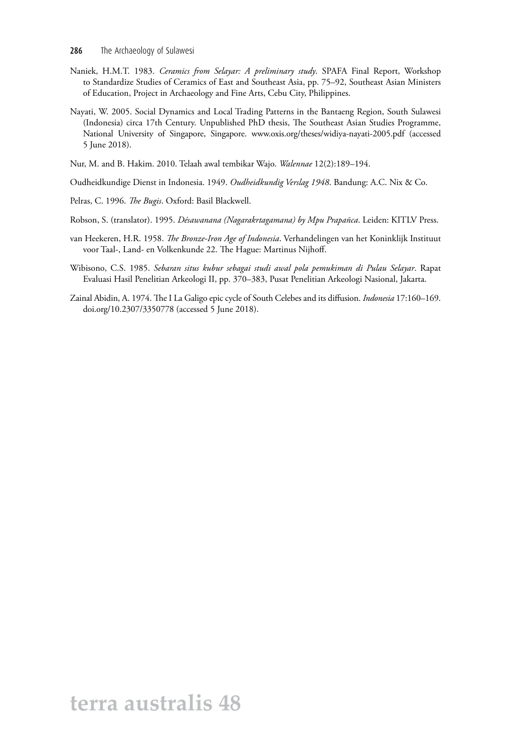- Naniek, H.M.T. 1983. *Ceramics from Selayar: A preliminary study*. SPAFA Final Report, Workshop to Standardize Studies of Ceramics of East and Southeast Asia, pp. 75–92, Southeast Asian Ministers of Education, Project in Archaeology and Fine Arts, Cebu City, Philippines.
- Nayati, W. 2005. Social Dynamics and Local Trading Patterns in the Bantaeng Region, South Sulawesi (Indonesia) circa 17th Century. Unpublished PhD thesis, The Southeast Asian Studies Programme, National University of Singapore, Singapore. [www.oxis.org/theses/widiya-nayati-2005.pdf](http://www.oxis.org/theses/widiya-nayati-2005.pdf) (accessed 5 June 2018).
- Nur, M. and B. Hakim. 2010. Telaah awal tembikar Wajo. *Walennae* 12(2):189–194.
- Oudheidkundige Dienst in Indonesia. 1949. *Oudheidkundig Verslag 1948*. Bandung: A.C. Nix & Co.
- Pelras, C. 1996. *The Bugis*. Oxford: Basil Blackwell.
- Robson, S. (translator). 1995. *Désawanana (Nagarakrtagamana) by Mpu Prapañca*. Leiden: KITLV Press.
- van Heekeren, H.R. 1958. *The Bronze-Iron Age of Indonesia*. Verhandelingen van het Koninklijk Instituut voor Taal-, Land- en Volkenkunde 22. The Hague: Martinus Nijhoff.
- Wibisono, C.S. 1985. *Sebaran situs kubur sebagai studi awal pola pemukiman di Pulau Selayar*. Rapat Evaluasi Hasil Penelitian Arkeologi II, pp. 370–383, Pusat Penelitian Arkeologi Nasional, Jakarta.
- Zainal Abidin, A. 1974. The I La Galigo epic cycle of South Celebes and its diffusion. *Indonesia* 17:160–169. [doi.org/10.2307/3350778](http://doi.org/10.2307/3350778) (accessed 5 June 2018).